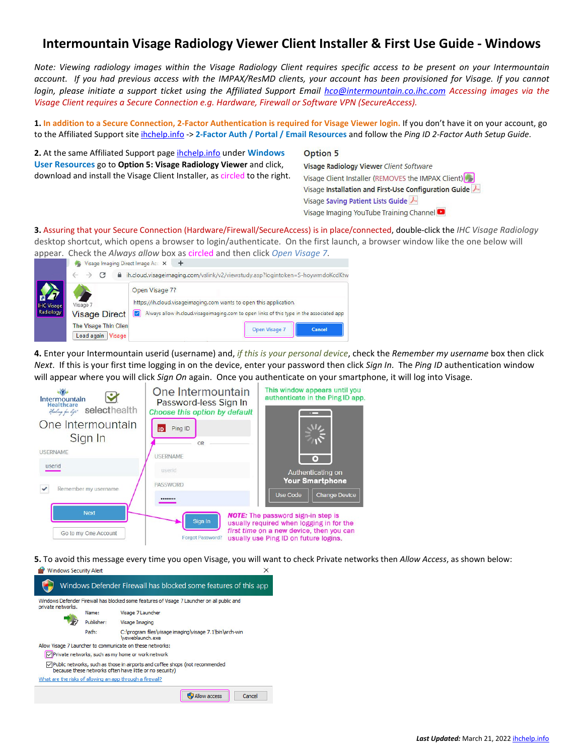## **Intermountain Visage Radiology Viewer Client Installer & First Use Guide - Windows**

*Note: Viewing radiology images within the Visage Radiology Client requires specific access to be present on your Intermountain account. If you had previous access with the IMPAX/ResMD clients, your account has been provisioned for Visage. If you cannot login, please initiate a support ticket using the Affiliated Support Email [hco@intermountain.co.ihc.com](mailto:hco@intermountain.co.ihc.com) Accessing images via the Visage Client requires a Secure Connection e.g. Hardware, Firewall or Software VPN (SecureAccess).*

**1. In addition to a Secure Connection, 2-Factor Authentication is required for Visage Viewer login.** If you don't have it on your account, go to the Affiliated Support site [ihchelp.info](https://intermountainhealthcare.org/other-audiences/affiliated-support) -> **2-Factor Auth / Portal / Email Resources** and follow the *Ping ID 2-Factor Auth Setup Guide*.

**2.** At the same Affiliated Support page [ihchelp.info](https://intermountainhealthcare.org/other-audiences/affiliated-support) under **Windows User Resources** go to **Option 5: Visage Radiology Viewer** and click, download and install the Visage Client Installer, as circled to the right.

## **Option 5**

Visage Radiology Viewer Client Software Visage Client Installer (REMOVES the IMPAX Client) Visage Installation and First-Use Configuration Guide Visage Saving Patient Lists Guide 人 Visage Imaging YouTube Training Channel

**3.** Assuring that your Secure Connection (Hardware/Firewall/SecureAccess) is in place/connected, double-click the *IHC Visage Radiology* desktop shortcut, which opens a browser to login/authenticate. On the first launch, a browser window like the one below will



**4.** Enter your Intermountain userid (username) and, *if this is your personal device*, check the *Remember my username* box then click *Next*. If this is your first time logging in on the device, enter your password then click *Sign In*. The *Ping ID* authentication window will appear where you will click *Sign On* again. Once you authenticate on your smartphone, it will log into Visage.



**5.** To avoid this message every time you open Visage, you will want to check Private networks then *Allow Access*, as shown below: